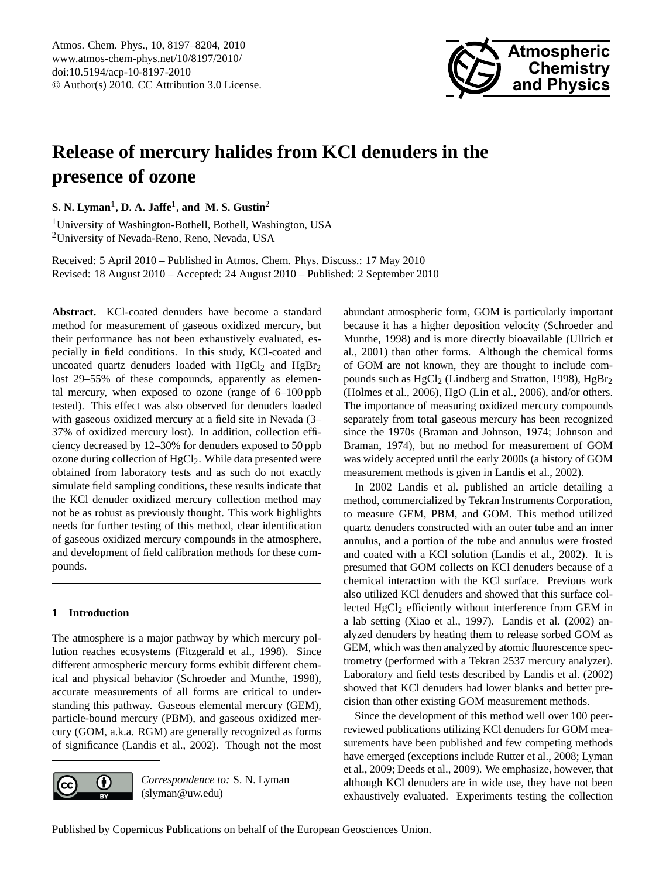

# <span id="page-0-0"></span>**Release of mercury halides from KCl denuders in the presence of ozone**

 $\mathbf{S}.$  N. Lyman $^1$ , D. A. Jaffe $^1$ , and M. S. Gustin $^2$ 

<sup>1</sup>University of Washington-Bothell, Bothell, Washington, USA <sup>2</sup>University of Nevada-Reno, Reno, Nevada, USA

Received: 5 April 2010 – Published in Atmos. Chem. Phys. Discuss.: 17 May 2010 Revised: 18 August 2010 – Accepted: 24 August 2010 – Published: 2 September 2010

**Abstract.** KCl-coated denuders have become a standard method for measurement of gaseous oxidized mercury, but their performance has not been exhaustively evaluated, especially in field conditions. In this study, KCl-coated and uncoated quartz denuders loaded with  $HgCl<sub>2</sub>$  and  $HgBr<sub>2</sub>$ lost 29–55% of these compounds, apparently as elemental mercury, when exposed to ozone (range of 6–100 ppb tested). This effect was also observed for denuders loaded with gaseous oxidized mercury at a field site in Nevada (3– 37% of oxidized mercury lost). In addition, collection efficiency decreased by 12–30% for denuders exposed to 50 ppb ozone during collection of HgCl<sub>2</sub>. While data presented were obtained from laboratory tests and as such do not exactly simulate field sampling conditions, these results indicate that the KCl denuder oxidized mercury collection method may not be as robust as previously thought. This work highlights needs for further testing of this method, clear identification of gaseous oxidized mercury compounds in the atmosphere, and development of field calibration methods for these compounds.

## **1 Introduction**

The atmosphere is a major pathway by which mercury pollution reaches ecosystems (Fitzgerald et al., 1998). Since different atmospheric mercury forms exhibit different chemical and physical behavior (Schroeder and Munthe, 1998), accurate measurements of all forms are critical to understanding this pathway. Gaseous elemental mercury (GEM), particle-bound mercury (PBM), and gaseous oxidized mercury (GOM, a.k.a. RGM) are generally recognized as forms of significance (Landis et al., 2002). Though not the most



*Correspondence to:* S. N. Lyman (slyman@uw.edu)

abundant atmospheric form, GOM is particularly important because it has a higher deposition velocity (Schroeder and Munthe, 1998) and is more directly bioavailable (Ullrich et al., 2001) than other forms. Although the chemical forms of GOM are not known, they are thought to include compounds such as  $HgCl_2$  (Lindberg and Stratton, 1998),  $HgBr_2$ (Holmes et al., 2006), HgO (Lin et al., 2006), and/or others. The importance of measuring oxidized mercury compounds separately from total gaseous mercury has been recognized since the 1970s (Braman and Johnson, 1974; Johnson and Braman, 1974), but no method for measurement of GOM was widely accepted until the early 2000s (a history of GOM measurement methods is given in Landis et al., 2002).

In 2002 Landis et al. published an article detailing a method, commercialized by Tekran Instruments Corporation, to measure GEM, PBM, and GOM. This method utilized quartz denuders constructed with an outer tube and an inner annulus, and a portion of the tube and annulus were frosted and coated with a KCl solution (Landis et al., 2002). It is presumed that GOM collects on KCl denuders because of a chemical interaction with the KCl surface. Previous work also utilized KCl denuders and showed that this surface collected HgCl<sub>2</sub> efficiently without interference from GEM in a lab setting (Xiao et al., 1997). Landis et al. (2002) analyzed denuders by heating them to release sorbed GOM as GEM, which was then analyzed by atomic fluorescence spectrometry (performed with a Tekran 2537 mercury analyzer). Laboratory and field tests described by Landis et al. (2002) showed that KCl denuders had lower blanks and better precision than other existing GOM measurement methods.

Since the development of this method well over 100 peerreviewed publications utilizing KCl denuders for GOM measurements have been published and few competing methods have emerged (exceptions include Rutter et al., 2008; Lyman et al., 2009; Deeds et al., 2009). We emphasize, however, that although KCl denuders are in wide use, they have not been exhaustively evaluated. Experiments testing the collection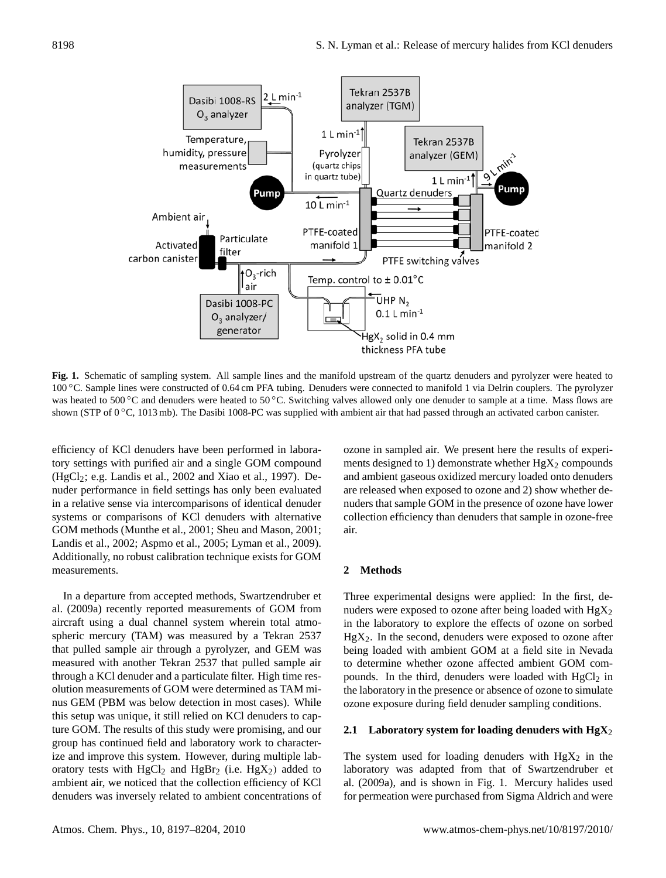

Fig. 1. Schematic of sampling system. All sample lines and the manifold upstream of the quartz denuders and pyrolyzer were heated to was heated to 500 °C and denuders were heated to 50 °C. Switching valves allowed only one denuder to sample at a time. Mass flows are shown (STP of  $0°C$ , 1013 mb). The Dasibi 1008-PC was supplied with ambient air that had passed through an activated carbon canister. 100 ◦C. Sample lines were constructed of 0.64 cm PFA tubing. Denuders were connected to manifold 1 via Delrin couplers. The pyrolyzer

in a relative sense via intercomparisons of identical denuder efficiency of KCl denuders have been performed in laboratory settings with purified air and a single GOM compound  $(HgCl<sub>2</sub>; e.g. Landis et al., 2002 and Xiao et al., 1997).$  Denuder performance in field settings has only been evaluated systems or comparisons of KCl denuders with alternative GOM methods (Munthe et al., 2001; Sheu and Mason, 2001; Landis et al., 2002; Aspmo et al., 2005; Lyman et al., 2009). Additionally, no robust calibration technique exists for GOM measurements.

In a departure from accepted methods, Swartzendruber et al. (2009a) recently reported measurements of GOM from aircraft using a dual channel system wherein total atmospheric mercury (TAM) was measured by a Tekran 2537 that pulled sample air through a pyrolyzer, and GEM was measured with another Tekran 2537 that pulled sample air through a KCl denuder and a particulate filter. High time resolution measurements of GOM were determined as TAM minus GEM (PBM was below detection in most cases). While this setup was unique, it still relied on KCl denuders to capture GOM. The results of this study were promising, and our group has continued field and laboratory work to characterize and improve this system. However, during multiple laboratory tests with  $HgCl<sub>2</sub>$  and  $HgBr<sub>2</sub>$  (i.e.  $HgX<sub>2</sub>$ ) added to ambient air, we noticed that the collection efficiency of KCl denuders was inversely related to ambient concentrations of

of KCl denuders have been performed in labora-<br>
ozone in sampled air. We present here the results of experi-Equal to sample as a single GOM compound are ments designed to 1) demonstrate whether  $HgX_2$  compounds FIGURE 2008-PC with a master with a model with a model with a model interest process of the carbon cannot be defined through an activated care released when exposed to ozone and 2) show whether deand ambient gaseous oxidized mercury loaded onto denuders nuders that sample GOM in the presence of ozone have lower collection efficiency than denuders that sample in ozone-free air.

## **2 Methods**

Three experimental designs were applied: In the first, denuders were exposed to ozone after being loaded with  $HgX_2$ in the laboratory to explore the effects of ozone on sorbed  $HgX_2$ . In the second, denuders were exposed to ozone after being loaded with ambient GOM at a field site in Nevada to determine whether ozone affected ambient GOM compounds. In the third, denuders were loaded with  $HgCl<sub>2</sub>$  in the laboratory in the presence or absence of ozone to simulate ozone exposure during field denuder sampling conditions.

#### **2.1 Laboratory system for loading denuders with HgX**<sup>2</sup>

for permeation were purchased from Sigma Aldrich and were The system used for loading denuders with  $HgX_2$  in the laboratory was adapted from that of Swartzendruber et al. (2009a), and is shown in Fig. 1. Mercury halides used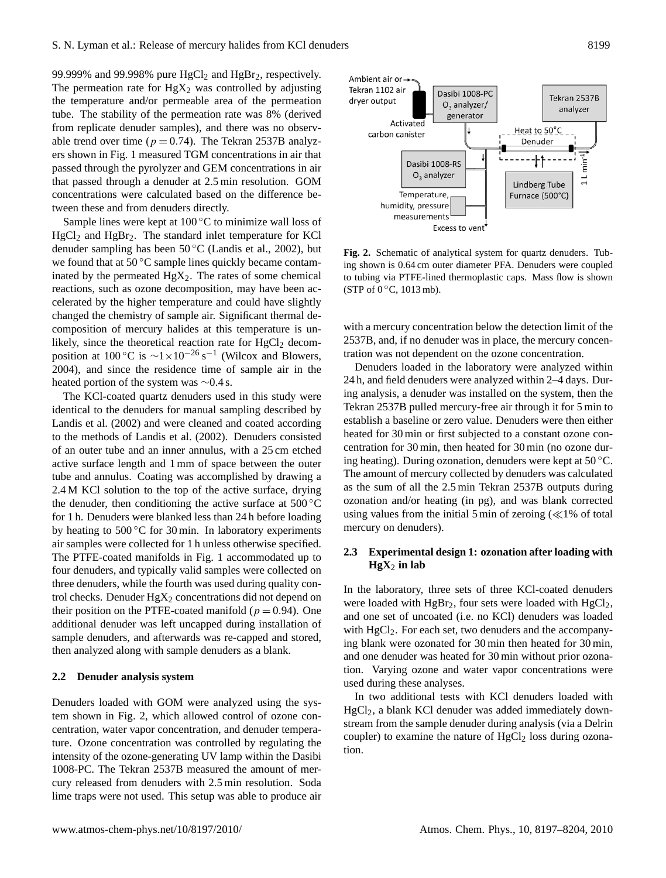99.999% and 99.998% pure  $HgCl<sub>2</sub>$  and  $HgBr<sub>2</sub>$ , respectively. The permeation rate for  $HgX_2$  was controlled by adjusting the temperature and/or permeable area of the permeation tube. The stability of the permeation rate was 8% (derived from replicate denuder samples), and there was no observable trend over time ( $p = 0.74$ ). The Tekran 2537B analyzers shown in Fig. 1 measured TGM concentrations in air that passed through the pyrolyzer and GEM concentrations in air that passed through a denuder at 2.5 min resolution. GOM concentrations were calculated based on the difference between these and from denuders directly.

Sample lines were kept at 100 ◦C to minimize wall loss of  $HgCl<sub>2</sub>$  and  $HgBr<sub>2</sub>$ . The standard inlet temperature for KCl denuder sampling has been 50 ◦C (Landis et al., 2002), but we found that at 50 ℃ sample lines quickly became contaminated by the permeated  $HgX_2$ . The rates of some chemical reactions, such as ozone decomposition, may have been accelerated by the higher temperature and could have slightly changed the chemistry of sample air. Significant thermal decomposition of mercury halides at this temperature is unlikely, since the theoretical reaction rate for  $HgCl<sub>2</sub>$  decomposition at 100 °C is  $\sim$ 1×10<sup>-26</sup> s<sup>-1</sup> (Wilcox and Blowers, 2004), and since the residence time of sample air in the heated portion of the system was ∼0.4 s.

The KCl-coated quartz denuders used in this study were identical to the denuders for manual sampling described by Landis et al. (2002) and were cleaned and coated according to the methods of Landis et al. (2002). Denuders consisted of an outer tube and an inner annulus, with a 25 cm etched active surface length and 1 mm of space between the outer tube and annulus. Coating was accomplished by drawing a 2.4 M KCl solution to the top of the active surface, drying the denuder, then conditioning the active surface at  $500\,^{\circ}\text{C}$ for 1 h. Denuders were blanked less than 24 h before loading by heating to  $500\,^{\circ}\text{C}$  for 30 min. In laboratory experiments air samples were collected for 1 h unless otherwise specified. The PTFE-coated manifolds in Fig. 1 accommodated up to four denuders, and typically valid samples were collected on three denuders, while the fourth was used during quality control checks. Denuder  $HgX_2$  concentrations did not depend on their position on the PTFE-coated manifold ( $p = 0.94$ ). One additional denuder was left uncapped during installation of sample denuders, and afterwards was re-capped and stored, then analyzed along with sample denuders as a blank.

#### **2.2 Denuder analysis system**

Denuders loaded with GOM were analyzed using the system shown in Fig. 2, which allowed control of ozone concentration, water vapor concentration, and denuder temperature. Ozone concentration was controlled by regulating the intensity of the ozone-generating UV lamp within the Dasibi 1008-PC. The Tekran 2537B measured the amount of mercury released from denuders with 2.5 min resolution. Soda 2.2 Denuder analysis system<br>
Lime transference analyzed using the system in two additional tests with KCl denuders loaded with<br>
tem shown in Fig. 2, which allowed control of ozone con-<br>
centration, water vapor concentrati



Fig. 2. Schematic of analytical system for quartz denuders. Tubing shown is 0.64 cm outer diameter PFA. Denuders were coupled  $(STP of 0°C, 1013 mb).$ to tubing via PTFE-lined thermoplastic caps. Mass flow is shown

with a mercury concentration below the detection limit of the 2537B, and, if no denuder was in place, the mercury concentration was not dependent on the ozone concentration.

Denuders loaded in the laboratory were analyzed within 24 h, and field denuders were analyzed within 2–4 days. During analysis, a denuder was installed on the system, then the Tekran 2537B pulled mercury-free air through it for 5 min to establish a baseline or zero value. Denuders were then either heated for 30 min or first subjected to a constant ozone concentration for 30 min, then heated for 30 min (no ozone during heating). During ozonation, denuders were kept at 50 ◦C. The amount of mercury collected by denuders was calculated as the sum of all the 2.5 min Tekran 2537B outputs during ozonation and/or heating (in pg), and was blank corrected using values from the initial 5 min of zeroing  $(\ll 1\%$  of total mercury on denuders).

# **2.3 Experimental design 1: ozonation after loading with**  $HgX_2$  in lab

In the laboratory, three sets of three KCl-coated denuders were loaded with  $HgBr_2$ , four sets were loaded with  $HgCl_2$ , and one set of uncoated (i.e. no KCl) denuders was loaded with HgCl<sub>2</sub>. For each set, two denuders and the accompanying blank were ozonated for 30 min then heated for 30 min, and one denuder was heated for 30 min without prior ozonation. Varying ozone and water vapor concentrations were used during these analyses.

In two additional tests with KCl denuders loaded with HgCl2, a blank KCl denuder was added immediately downstream from the sample denuder during analysis (via a Delrin coupler) to examine the nature of  $HgCl<sub>2</sub>$  loss during ozonation.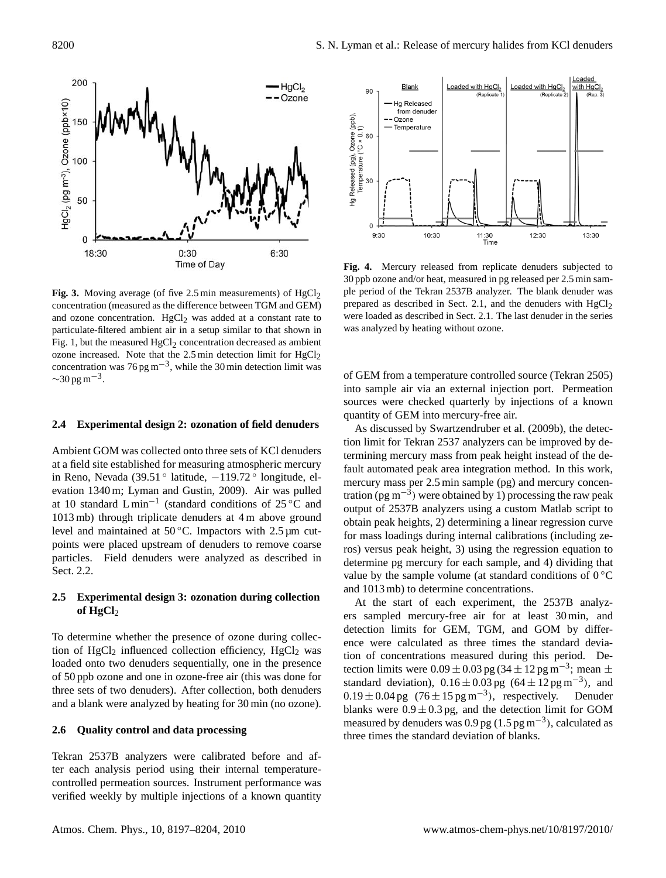

**Fig. 3.** Moving average (of five 2.5 min measurements) of  $HgCl<sub>2</sub>$  ple period of the Tekran 2537B analyzer.  $\frac{1}{2}$  and ozone concentration. HgCl<sub>2</sub> was added at a constant rate to were loaded as described in Sect. 2.1. The la particulate-filtered ambient air in a setup similar to that shown in Was analyzed by heating without ozone. ozone increased. Note that the 2.5 min detection limit for  $HgCl_2$ concentration was 76 pg m-3, while the 30 min detection limit was of GEM from a temperature controlled source (Tekran 2505) concentration (measured as the difference between TGM and GEM) Fig. 1, but the measured  $HgCl<sub>2</sub>$  concentration decreased as ambient concentration was  $76 \text{ pg m}^{-3}$ , while the 30 min detection limit was  $\sim$ 30 pg m<sup>-3</sup>.

#### **2.4 Experimental design 2: ozonation of field denuders**

Ambient GOM was collected onto three sets of KCl denuders at a field site established for measuring atmospheric mercury in Reno, Nevada (39.51° latitude, -119.72° longitude, elevation 1340 m; Lyman and Gustin, 2009). Air was pulled at 10 standard L min<sup>-1</sup> (standard conditions of 25 °C and 1013 mb) through triplicate denuders at 4 m above ground level and maintained at  $50^{\circ}$ C. Impactors with  $2.5 \,\mu$ m cutpoints were placed upstream of denuders to remove coarse particles. Field denuders were analyzed as described in Sect. 2.2.

# **2.5 Experimental design 3: ozonation during collection** of HgCl<sub>2</sub>

To determine whether the presence of ozone during collection of  $HgCl<sub>2</sub>$  influenced collection efficiency,  $HgCl<sub>2</sub>$  was loaded onto two denuders sequentially, one in the presence of 50 ppb ozone and one in ozone-free air (this was done for three sets of two denuders). After collection, both denuders and a blank were analyzed by heating for 30 min (no ozone).

## **2.6 Quality control and data processing**

Tekran 2537B analyzers were calibrated before and after each analysis period using their internal temperaturecontrolled permeation sources. Instrument performance was



Fig. 4. Mercury released from replicate denuders subjected to ple period of the Tekran 2537B analyzer. The blank denuder was prepared as described in Sect. 2.1, and the denuders with  $HgCl<sub>2</sub>$ were loaded as described in Sect. 2.1. The last denuder in the series  $\frac{1}{2}$   $\frac{1}{2}$   $\frac{1}{2}$   $\frac{1}{2}$   $\frac{1}{2}$   $\frac{1}{2}$   $\frac{1}{2}$   $\frac{1}{2}$   $\frac{1}{2}$   $\frac{1}{2}$   $\frac{1}{2}$   $\frac{1}{2}$   $\frac{1}{2}$   $\frac{1}{2}$   $\frac{1}{2}$   $\frac{1}{2}$   $\frac{1}{2}$   $\frac{1}{2}$   $\frac{1}{2}$   $\frac{1}{2}$   $\frac{1}{2}$   $\frac{1}{2}$  30 ppb ozone and/or heat, measured in pg released per 2.5 min samwas analyzed by heating without ozone.

into sample air via an external injection port. Permeation sources were checked quarterly by injections of a known quantity of GEM into mercury-free air.

As discussed by Swartzendruber et al. (2009b), the detection limit for Tekran 2537 analyzers can be improved by determining mercury mass from peak height instead of the default automated peak area integration method. In this work, mercury mass per 2.5 min sample (pg) and mercury concentration (pg m<sup>-3</sup>) were obtained by 1) processing the raw peak output of 2537B analyzers using a custom Matlab script to obtain peak heights, 2) determining a linear regression curve for mass loadings during internal calibrations (including zeros) versus peak height, 3) using the regression equation to determine pg mercury for each sample, and 4) dividing that value by the sample volume (at standard conditions of  $0^{\circ}$ C and 1013 mb) to determine concentrations.

or  $\overline{H}gC_1$ <br>
or sampled mercury-free air for at least 30 min, and<br>
To determine whether the presence of ozone during collec-<br>
terior limits for GEM, TGM, and GOM by differ-<br>
tion of HgCl<sub>2</sub> influenced collection effic At the start of each experiment, the 2537B analyzers sampled mercury-free air for at least 30 min, and detection limits for GEM, TGM, and GOM by difference were calculated as three times the standard deviation of concentrations measured during this period. Detection limits were  $0.09 \pm 0.03$  pg  $(34 \pm 12$  pg m<sup>-3</sup>; mean  $\pm$ standard deviation),  $0.16 \pm 0.03$  pg  $(64 \pm 12$  pg m<sup>-3</sup>), and  $0.19 \pm 0.04$  pg  $(76 \pm 15$  pg m<sup>-3</sup>), respectively. Denuder blanks were  $0.9 \pm 0.3$  pg, and the detection limit for GOM measured by denuders was  $0.9 \text{ pg} (1.5 \text{ pg m}^{-3})$ , calculated as three times the standard deviation of blanks.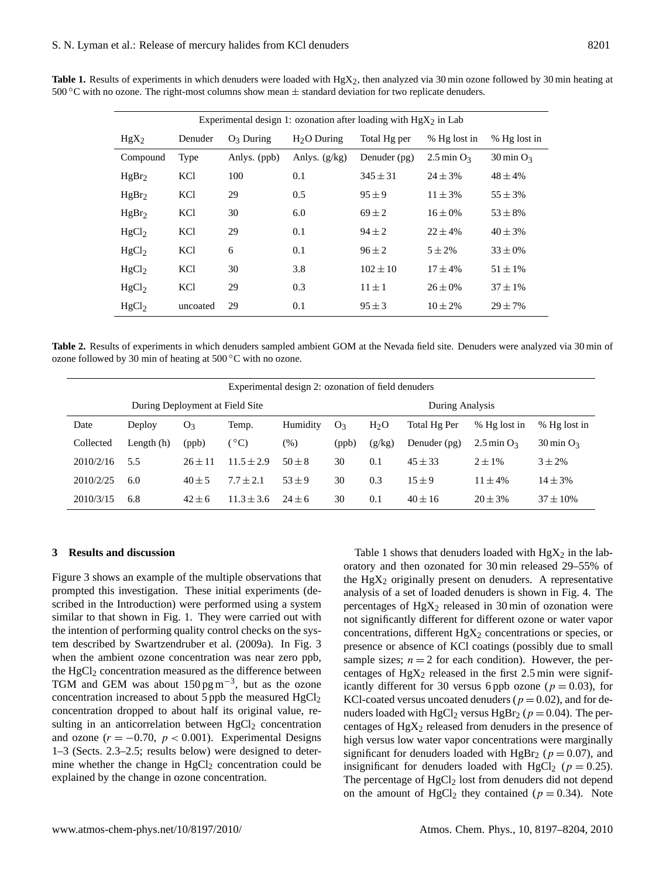**Table 1.** Results of experiments in which denuders were loaded with HgX<sub>2</sub>, then analyzed via 30 min ozone followed by 30 min heating at 500 °C with no ozone. The right-most columns show mean  $\pm$  standard deviation for two replicate denuders.

| Experimental design 1: ozonation after loading with $HgX_2$ in Lab |             |              |                 |              |                |                       |  |
|--------------------------------------------------------------------|-------------|--------------|-----------------|--------------|----------------|-----------------------|--|
| $HgX_2$                                                            | Denuder     | $O_3$ During | $H2O$ During    | Total Hg per | % Hg lost in   | % Hg lost in          |  |
| Compound                                                           | <b>Type</b> | Anlys. (ppb) | Anlys. $(g/kg)$ | Denuder (pg) | $2.5$ min $O3$ | $30 \text{ min } O_3$ |  |
| HgBr <sub>2</sub>                                                  | KCl         | 100          | 0.1             | $345 \pm 31$ | $24 \pm 3\%$   | $48 \pm 4\%$          |  |
| HgBr <sub>2</sub>                                                  | KCl         | 29           | 0.5             | $95 \pm 9$   | $11 \pm 3\%$   | $55 \pm 3\%$          |  |
| HgBr <sub>2</sub>                                                  | KCl         | 30           | 6.0             | $69 \pm 2$   | $16 \pm 0\%$   | $53 \pm 8\%$          |  |
| HgCl <sub>2</sub>                                                  | <b>KCl</b>  | 29           | 0.1             | $94 \pm 2$   | $22 \pm 4\%$   | $40 \pm 3\%$          |  |
| HgCl <sub>2</sub>                                                  | KCl         | 6            | 0.1             | $96 \pm 2$   | $5 + 2\%$      | $33 \pm 0\%$          |  |
| HgCl <sub>2</sub>                                                  | KCl         | 30           | 3.8             | $102 \pm 10$ | $17 \pm 4\%$   | $51 \pm 1\%$          |  |
| HgCl <sub>2</sub>                                                  | <b>KCl</b>  | 29           | 0.3             | $11 \pm 1$   | $26 \pm 0\%$   | $37 \pm 1\%$          |  |
| HgCl <sub>2</sub>                                                  | uncoated    | 29           | 0.1             | $95 \pm 3$   | $10 \pm 2\%$   | $29 \pm 7\%$          |  |

**Table 2.** Results of experiments in which denuders sampled ambient GOM at the Nevada field site. Denuders were analyzed via 30 min of ozone followed by 30 min of heating at  $500^{\circ}$ C with no ozone.

| Experimental design 2: ozonation of field denuders |              |            |                |            |                 |                  |              |                                  |                       |
|----------------------------------------------------|--------------|------------|----------------|------------|-----------------|------------------|--------------|----------------------------------|-----------------------|
| During Deployment at Field Site                    |              |            |                |            | During Analysis |                  |              |                                  |                       |
| Date                                               | Deploy       | $O_3$      | Temp.          | Humidity   | O <sub>3</sub>  | H <sub>2</sub> O | Total Hg Per | % Hg lost in                     | % Hg lost in          |
| Collected                                          | Length $(h)$ | (ppb)      | $(^\circ C)$   | $(\% )$    | (ppb)           | (g/kg)           | Denuder (pg) | $2.5 \text{ min}$ O <sub>3</sub> | $30 \text{ min } O_3$ |
| 2010/2/16                                          | 5.5          | $26 + 11$  | $11.5 \pm 2.9$ | $50 \pm 8$ | 30              | 0.1              | $45 \pm 33$  | $2 \pm 1\%$                      | $3 + 2\%$             |
| 2010/2/25                                          | 6.0          | $40 \pm 5$ | $7.7 + 2.1$    | $53 + 9$   | 30              | 0.3              | $15 \pm 9$   | $11 \pm 4\%$                     | $14 \pm 3\%$          |
| 2010/3/15                                          | 6.8          | $42 \pm 6$ | $11.3 \pm 3.6$ | $24 \pm 6$ | 30              | 0.1              | $40 \pm 16$  | $20 \pm 3\%$                     | $37 \pm 10\%$         |

#### **3 Results and discussion**

Figure 3 shows an example of the multiple observations that prompted this investigation. These initial experiments (described in the Introduction) were performed using a system similar to that shown in Fig. 1. They were carried out with the intention of performing quality control checks on the system described by Swartzendruber et al. (2009a). In Fig. 3 when the ambient ozone concentration was near zero ppb, the HgCl<sub>2</sub> concentration measured as the difference between TGM and GEM was about  $150 \text{ pg m}^{-3}$ , but as the ozone concentration increased to about 5 ppb the measured  $HgCl<sub>2</sub>$ concentration dropped to about half its original value, resulting in an anticorrelation between  $HgCl<sub>2</sub>$  concentration and ozone  $(r = -0.70, p < 0.001)$ . Experimental Designs 1–3 (Sects. 2.3–2.5; results below) were designed to determine whether the change in  $HgCl<sub>2</sub>$  concentration could be explained by the change in ozone concentration.

Table 1 shows that denuders loaded with  $HgX_2$  in the laboratory and then ozonated for 30 min released 29–55% of the  $HgX_2$  originally present on denuders. A representative analysis of a set of loaded denuders is shown in Fig. 4. The percentages of  $HgX_2$  released in 30 min of ozonation were not significantly different for different ozone or water vapor concentrations, different  $HgX_2$  concentrations or species, or presence or absence of KCl coatings (possibly due to small sample sizes;  $n = 2$  for each condition). However, the percentages of  $HgX_2$  released in the first 2.5 min were significantly different for 30 versus 6 ppb ozone ( $p = 0.03$ ), for KCl-coated versus uncoated denuders ( $p = 0.02$ ), and for denuders loaded with HgCl<sub>2</sub> versus HgBr<sub>2</sub> ( $p = 0.04$ ). The percentages of  $HgX_2$  released from denuders in the presence of high versus low water vapor concentrations were marginally significant for denuders loaded with HgBr<sub>2</sub> ( $p = 0.07$ ), and insignificant for denuders loaded with HgCl<sub>2</sub> ( $p = 0.25$ ). The percentage of  $HgCl<sub>2</sub>$  lost from denuders did not depend on the amount of HgCl<sub>2</sub> they contained ( $p = 0.34$ ). Note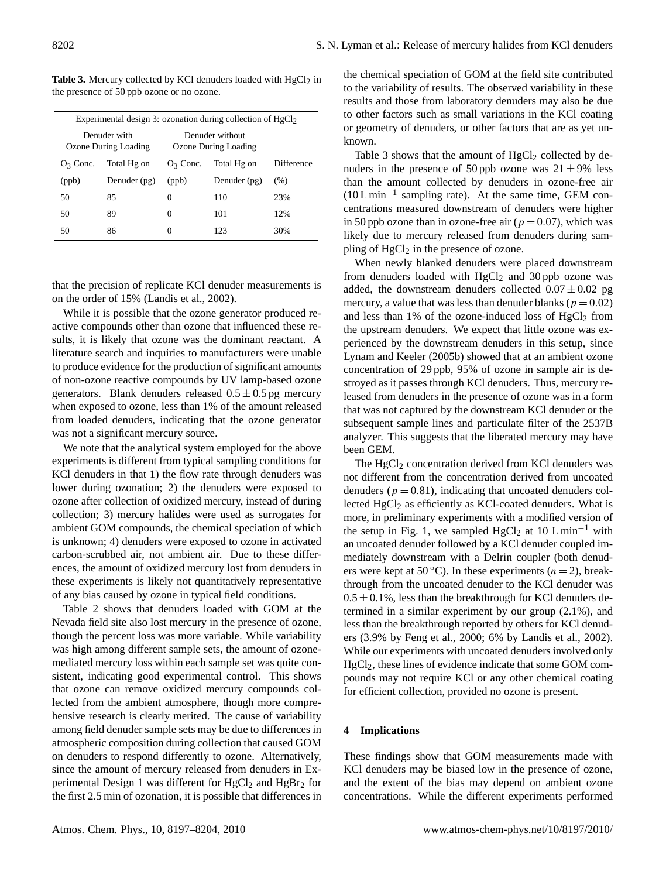Table 3. Mercury collected by KCl denuders loaded with HgCl<sub>2</sub> in the presence of 50 ppb ozone or no ozone.

| Experimental design 3: ozonation during collection of $HgCl2$ |                                      |                                         |              |            |  |  |  |
|---------------------------------------------------------------|--------------------------------------|-----------------------------------------|--------------|------------|--|--|--|
|                                                               | Denuder with<br>Ozone During Loading | Denuder without<br>Ozone During Loading |              |            |  |  |  |
| $O_3$ Conc.                                                   | Total Hg on                          | $O3$ Conc.                              | Total Hg on  | Difference |  |  |  |
| (ppb)                                                         | Denuder (pg)                         | (ppb)                                   | Denuder (pg) | (% )       |  |  |  |
| 50                                                            | 85                                   | $\Omega$                                | 110          | 23%        |  |  |  |
| 50                                                            | 89                                   | $\Omega$                                | 101          | 12%        |  |  |  |
| 50                                                            | 86                                   |                                         | 123          | 30%        |  |  |  |

that the precision of replicate KCl denuder measurements is on the order of 15% (Landis et al., 2002).

While it is possible that the ozone generator produced reactive compounds other than ozone that influenced these results, it is likely that ozone was the dominant reactant. A literature search and inquiries to manufacturers were unable to produce evidence for the production of significant amounts of non-ozone reactive compounds by UV lamp-based ozone generators. Blank denuders released  $0.5 \pm 0.5$  pg mercury when exposed to ozone, less than 1% of the amount released from loaded denuders, indicating that the ozone generator was not a significant mercury source.

We note that the analytical system employed for the above experiments is different from typical sampling conditions for KCl denuders in that 1) the flow rate through denuders was lower during ozonation; 2) the denuders were exposed to ozone after collection of oxidized mercury, instead of during collection; 3) mercury halides were used as surrogates for ambient GOM compounds, the chemical speciation of which is unknown; 4) denuders were exposed to ozone in activated carbon-scrubbed air, not ambient air. Due to these differences, the amount of oxidized mercury lost from denuders in these experiments is likely not quantitatively representative of any bias caused by ozone in typical field conditions.

Table 2 shows that denuders loaded with GOM at the Nevada field site also lost mercury in the presence of ozone, though the percent loss was more variable. While variability was high among different sample sets, the amount of ozonemediated mercury loss within each sample set was quite consistent, indicating good experimental control. This shows that ozone can remove oxidized mercury compounds collected from the ambient atmosphere, though more comprehensive research is clearly merited. The cause of variability among field denuder sample sets may be due to differences in atmospheric composition during collection that caused GOM on denuders to respond differently to ozone. Alternatively, since the amount of mercury released from denuders in Experimental Design 1 was different for  $HgCl<sub>2</sub>$  and  $HgBr<sub>2</sub>$  for the first 2.5 min of ozonation, it is possible that differences in

the chemical speciation of GOM at the field site contributed to the variability of results. The observed variability in these results and those from laboratory denuders may also be due to other factors such as small variations in the KCl coating or geometry of denuders, or other factors that are as yet unknown.

Table 3 shows that the amount of  $HgCl<sub>2</sub>$  collected by denuders in the presence of 50 ppb ozone was  $21 \pm 9\%$  less than the amount collected by denuders in ozone-free air (10 L min−<sup>1</sup> sampling rate). At the same time, GEM concentrations measured downstream of denuders were higher in 50 ppb ozone than in ozone-free air ( $p = 0.07$ ), which was likely due to mercury released from denuders during sampling of  $HgCl<sub>2</sub>$  in the presence of ozone.

When newly blanked denuders were placed downstream from denuders loaded with  $HgCl<sub>2</sub>$  and 30 ppb ozone was added, the downstream denuders collected  $0.07 \pm 0.02$  pg mercury, a value that was less than denuder blanks ( $p = 0.02$ ) and less than 1% of the ozone-induced loss of  $HgCl<sub>2</sub>$  from the upstream denuders. We expect that little ozone was experienced by the downstream denuders in this setup, since Lynam and Keeler (2005b) showed that at an ambient ozone concentration of 29 ppb, 95% of ozone in sample air is destroyed as it passes through KCl denuders. Thus, mercury released from denuders in the presence of ozone was in a form that was not captured by the downstream KCl denuder or the subsequent sample lines and particulate filter of the 2537B analyzer. This suggests that the liberated mercury may have been GEM.

The HgCl<sub>2</sub> concentration derived from KCl denuders was not different from the concentration derived from uncoated denuders ( $p = 0.81$ ), indicating that uncoated denuders collected HgCl<sub>2</sub> as efficiently as KCl-coated denuders. What is more, in preliminary experiments with a modified version of the setup in Fig. 1, we sampled HgCl<sub>2</sub> at 10 L min<sup>-1</sup> with an uncoated denuder followed by a KCl denuder coupled immediately downstream with a Delrin coupler (both denuders were kept at 50 °C). In these experiments ( $n = 2$ ), breakthrough from the uncoated denuder to the KCl denuder was  $0.5 \pm 0.1$ %, less than the breakthrough for KCl denuders determined in a similar experiment by our group (2.1%), and less than the breakthrough reported by others for KCl denuders (3.9% by Feng et al., 2000; 6% by Landis et al., 2002). While our experiments with uncoated denuders involved only HgCl2, these lines of evidence indicate that some GOM compounds may not require KCl or any other chemical coating for efficient collection, provided no ozone is present.

#### **4 Implications**

These findings show that GOM measurements made with KCl denuders may be biased low in the presence of ozone, and the extent of the bias may depend on ambient ozone concentrations. While the different experiments performed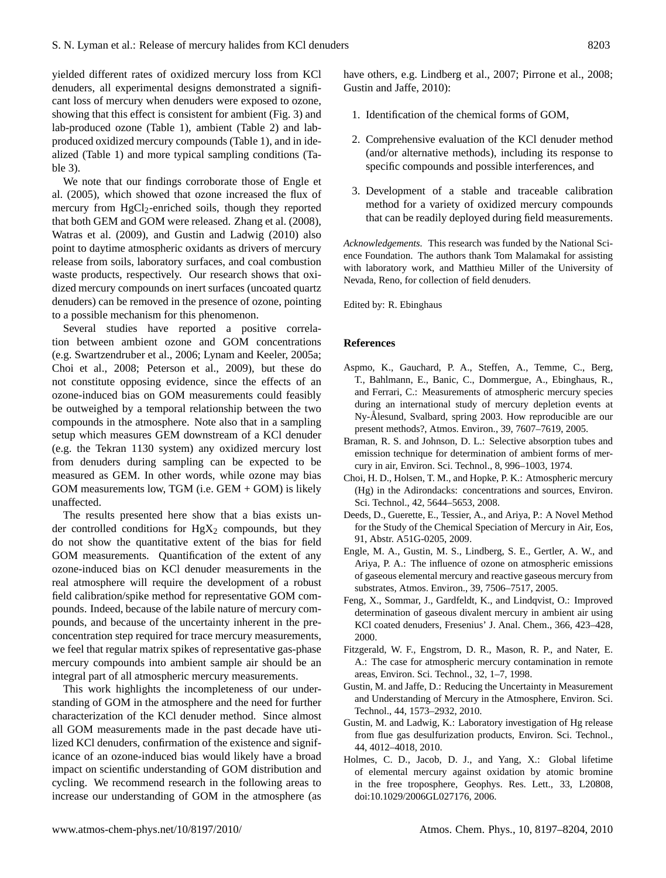yielded different rates of oxidized mercury loss from KCl denuders, all experimental designs demonstrated a significant loss of mercury when denuders were exposed to ozone, showing that this effect is consistent for ambient (Fig. 3) and lab-produced ozone (Table 1), ambient (Table 2) and labproduced oxidized mercury compounds (Table 1), and in idealized (Table 1) and more typical sampling conditions (Table 3).

We note that our findings corroborate those of Engle et al. (2005), which showed that ozone increased the flux of mercury from HgCl<sub>2</sub>-enriched soils, though they reported that both GEM and GOM were released. Zhang et al. (2008), Watras et al. (2009), and Gustin and Ladwig (2010) also point to daytime atmospheric oxidants as drivers of mercury release from soils, laboratory surfaces, and coal combustion waste products, respectively. Our research shows that oxidized mercury compounds on inert surfaces (uncoated quartz denuders) can be removed in the presence of ozone, pointing to a possible mechanism for this phenomenon.

Several studies have reported a positive correlation between ambient ozone and GOM concentrations (e.g. Swartzendruber et al., 2006; Lynam and Keeler, 2005a; Choi et al., 2008; Peterson et al., 2009), but these do not constitute opposing evidence, since the effects of an ozone-induced bias on GOM measurements could feasibly be outweighed by a temporal relationship between the two compounds in the atmosphere. Note also that in a sampling setup which measures GEM downstream of a KCl denuder (e.g. the Tekran 1130 system) any oxidized mercury lost from denuders during sampling can be expected to be measured as GEM. In other words, while ozone may bias GOM measurements low, TGM (i.e. GEM + GOM) is likely unaffected.

The results presented here show that a bias exists under controlled conditions for  $HgX_2$  compounds, but they do not show the quantitative extent of the bias for field GOM measurements. Quantification of the extent of any ozone-induced bias on KCl denuder measurements in the real atmosphere will require the development of a robust field calibration/spike method for representative GOM compounds. Indeed, because of the labile nature of mercury compounds, and because of the uncertainty inherent in the preconcentration step required for trace mercury measurements, we feel that regular matrix spikes of representative gas-phase mercury compounds into ambient sample air should be an integral part of all atmospheric mercury measurements.

This work highlights the incompleteness of our understanding of GOM in the atmosphere and the need for further characterization of the KCl denuder method. Since almost all GOM measurements made in the past decade have utilized KCl denuders, confirmation of the existence and significance of an ozone-induced bias would likely have a broad impact on scientific understanding of GOM distribution and cycling. We recommend research in the following areas to increase our understanding of GOM in the atmosphere (as have others, e.g. Lindberg et al., 2007; Pirrone et al., 2008; Gustin and Jaffe, 2010):

- 1. Identification of the chemical forms of GOM,
- 2. Comprehensive evaluation of the KCl denuder method (and/or alternative methods), including its response to specific compounds and possible interferences, and
- 3. Development of a stable and traceable calibration method for a variety of oxidized mercury compounds that can be readily deployed during field measurements.

*Acknowledgements.* This research was funded by the National Science Foundation. The authors thank Tom Malamakal for assisting with laboratory work, and Matthieu Miller of the University of Nevada, Reno, for collection of field denuders.

Edited by: R. Ebinghaus

#### **References**

- Aspmo, K., Gauchard, P. A., Steffen, A., Temme, C., Berg, T., Bahlmann, E., Banic, C., Dommergue, A., Ebinghaus, R., and Ferrari, C.: Measurements of atmospheric mercury species during an international study of mercury depletion events at Ny-Ålesund, Svalbard, spring 2003. How reproducible are our present methods?, Atmos. Environ., 39, 7607–7619, 2005.
- Braman, R. S. and Johnson, D. L.: Selective absorption tubes and emission technique for determination of ambient forms of mercury in air, Environ. Sci. Technol., 8, 996–1003, 1974.
- Choi, H. D., Holsen, T. M., and Hopke, P. K.: Atmospheric mercury (Hg) in the Adirondacks: concentrations and sources, Environ. Sci. Technol., 42, 5644–5653, 2008.
- Deeds, D., Guerette, E., Tessier, A., and Ariya, P.: A Novel Method for the Study of the Chemical Speciation of Mercury in Air, Eos, 91, Abstr. A51G-0205, 2009.
- Engle, M. A., Gustin, M. S., Lindberg, S. E., Gertler, A. W., and Ariya, P. A.: The influence of ozone on atmospheric emissions of gaseous elemental mercury and reactive gaseous mercury from substrates, Atmos. Environ., 39, 7506–7517, 2005.
- Feng, X., Sommar, J., Gardfeldt, K., and Lindqvist, O.: Improved determination of gaseous divalent mercury in ambient air using KCl coated denuders, Fresenius' J. Anal. Chem., 366, 423–428, 2000.
- Fitzgerald, W. F., Engstrom, D. R., Mason, R. P., and Nater, E. A.: The case for atmospheric mercury contamination in remote areas, Environ. Sci. Technol., 32, 1–7, 1998.
- Gustin, M. and Jaffe, D.: Reducing the Uncertainty in Measurement and Understanding of Mercury in the Atmosphere, Environ. Sci. Technol., 44, 1573–2932, 2010.
- Gustin, M. and Ladwig, K.: Laboratory investigation of Hg release from flue gas desulfurization products, Environ. Sci. Technol., 44, 4012–4018, 2010.
- Holmes, C. D., Jacob, D. J., and Yang, X.: Global lifetime of elemental mercury against oxidation by atomic bromine in the free troposphere, Geophys. Res. Lett., 33, L20808, doi:10.1029/2006GL027176, 2006.